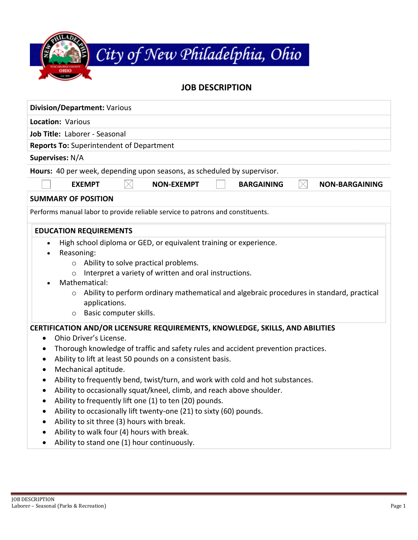| City of New Philadelphia, Ohio |
|--------------------------------|
|                                |

# **JOB DESCRIPTION**

| <b>Division/Department: Various</b>                                                                                                                                                                                                                                                                                                                                                                                                                                                                                                                                                                                                                                                                                                                                                                                                                       |  |  |  |
|-----------------------------------------------------------------------------------------------------------------------------------------------------------------------------------------------------------------------------------------------------------------------------------------------------------------------------------------------------------------------------------------------------------------------------------------------------------------------------------------------------------------------------------------------------------------------------------------------------------------------------------------------------------------------------------------------------------------------------------------------------------------------------------------------------------------------------------------------------------|--|--|--|
| Location: Various                                                                                                                                                                                                                                                                                                                                                                                                                                                                                                                                                                                                                                                                                                                                                                                                                                         |  |  |  |
| Job Title: Laborer - Seasonal                                                                                                                                                                                                                                                                                                                                                                                                                                                                                                                                                                                                                                                                                                                                                                                                                             |  |  |  |
| <b>Reports To: Superintendent of Department</b>                                                                                                                                                                                                                                                                                                                                                                                                                                                                                                                                                                                                                                                                                                                                                                                                           |  |  |  |
| Supervises: N/A                                                                                                                                                                                                                                                                                                                                                                                                                                                                                                                                                                                                                                                                                                                                                                                                                                           |  |  |  |
| Hours: 40 per week, depending upon seasons, as scheduled by supervisor.                                                                                                                                                                                                                                                                                                                                                                                                                                                                                                                                                                                                                                                                                                                                                                                   |  |  |  |
| <b>EXEMPT</b><br><b>NON-EXEMPT</b><br><b>BARGAINING</b><br><b>NON-BARGAINING</b><br>$\times$                                                                                                                                                                                                                                                                                                                                                                                                                                                                                                                                                                                                                                                                                                                                                              |  |  |  |
| <b>SUMMARY OF POSITION</b>                                                                                                                                                                                                                                                                                                                                                                                                                                                                                                                                                                                                                                                                                                                                                                                                                                |  |  |  |
| Performs manual labor to provide reliable service to patrons and constituents.                                                                                                                                                                                                                                                                                                                                                                                                                                                                                                                                                                                                                                                                                                                                                                            |  |  |  |
| <b>EDUCATION REQUIREMENTS</b>                                                                                                                                                                                                                                                                                                                                                                                                                                                                                                                                                                                                                                                                                                                                                                                                                             |  |  |  |
| High school diploma or GED, or equivalent training or experience.<br>$\bullet$<br>Reasoning:<br>$\bullet$<br>Ability to solve practical problems.<br>$\circ$<br>Interpret a variety of written and oral instructions.<br>$\circ$<br>Mathematical:<br>Ability to perform ordinary mathematical and algebraic procedures in standard, practical<br>$\circ$<br>applications.<br>Basic computer skills.<br>$\circ$                                                                                                                                                                                                                                                                                                                                                                                                                                            |  |  |  |
| CERTIFICATION AND/OR LICENSURE REQUIREMENTS, KNOWLEDGE, SKILLS, AND ABILITIES<br>Ohio Driver's License.<br>$\bullet$<br>Thorough knowledge of traffic and safety rules and accident prevention practices.<br>$\bullet$<br>Ability to lift at least 50 pounds on a consistent basis.<br>$\bullet$<br>Mechanical aptitude.<br>$\bullet$<br>Ability to frequently bend, twist/turn, and work with cold and hot substances.<br>$\bullet$<br>Ability to occasionally squat/kneel, climb, and reach above shoulder.<br>$\bullet$<br>Ability to frequently lift one (1) to ten (20) pounds.<br>$\bullet$<br>Ability to occasionally lift twenty-one (21) to sixty (60) pounds.<br>$\bullet$<br>Ability to sit three (3) hours with break.<br>$\bullet$<br>Ability to walk four (4) hours with break.<br>Ability to stand one (1) hour continuously.<br>$\bullet$ |  |  |  |